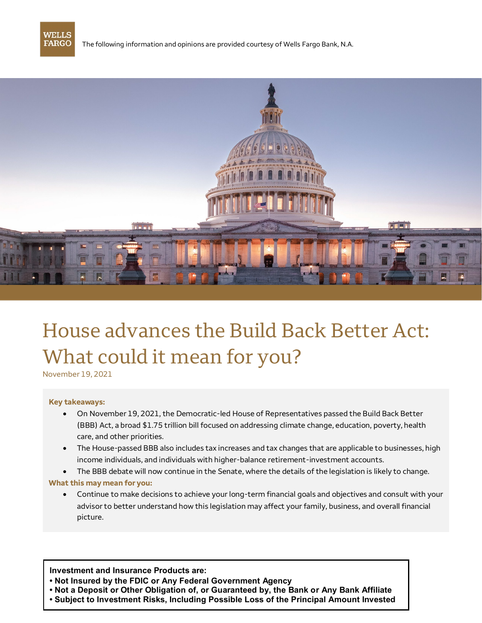

The following information and opinions are provided courtesy of Wells Fargo Bank, N.A.



# House advances the Build Back Better Act: What could it mean for you?

November 19, 2021

# **Key takeaways:**

- On November 19, 2021, the Democratic-led House of Representatives passed the Build Back Better (BBB) Act, a broad \$1.75 trillion bill focused on addressing climate change, education, poverty, health care, and other priorities.
- The House-passed BBB also includes tax increases and tax changes that are applicable to businesses, high income individuals, and individuals with higher-balance retirement-investment accounts.
- The BBB debate will now continue in the Senate, where the details of the legislation is likely to change. **What this may mean for you:**
	- Continue to make decisions to achieve your long-term financial goals and objectives and consult with your advisor to better understand how this legislation may affect your family, business, and overall financial picture.

**Investment and Insurance Products are:**

- **Not Insured by the FDIC or Any Federal Government Agency**
- **Not a Deposit or Other Obligation of, or Guaranteed by, the Bank or Any Bank Affiliate**
- **Subject to Investment Risks, Including Possible Loss of the Principal Amount Invested**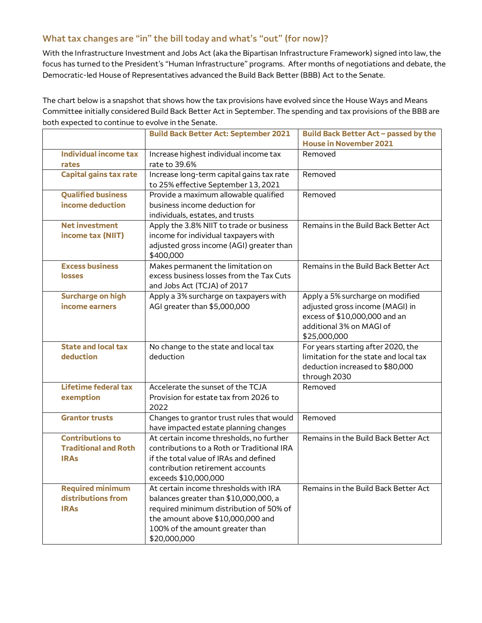## **What tax changes are "in" the bill today and what's "out" (for now)?**

With the Infrastructure Investment and Jobs Act (aka the Bipartisan Infrastructure Framework) signed into law, the focus has turned to the President's "Human Infrastructure" programs. After months of negotiations and debate, the Democratic-led House of Representatives advanced the Build Back Better (BBB) Act to the Senate.

The chart below is a snapshot that shows how the tax provisions have evolved since the House Ways and Means Committee initially considered Build Back Better Act in September. The spending and tax provisions of the BBB are both expected to continue to evolve in the Senate.

|                                                                       | <b>Build Back Better Act: September 2021</b>                                                                                                                                                                      | Build Back Better Act - passed by the<br><b>House in November 2021</b>                                                                           |
|-----------------------------------------------------------------------|-------------------------------------------------------------------------------------------------------------------------------------------------------------------------------------------------------------------|--------------------------------------------------------------------------------------------------------------------------------------------------|
| <b>Individual income tax</b><br>rates                                 | Increase highest individual income tax<br>rate to 39.6%                                                                                                                                                           | Removed                                                                                                                                          |
| <b>Capital gains tax rate</b>                                         | Increase long-term capital gains tax rate<br>to 25% effective September 13, 2021                                                                                                                                  | Removed                                                                                                                                          |
| <b>Qualified business</b>                                             | Provide a maximum allowable qualified                                                                                                                                                                             | Removed                                                                                                                                          |
| income deduction                                                      | business income deduction for<br>individuals, estates, and trusts                                                                                                                                                 |                                                                                                                                                  |
| <b>Net investment</b><br>income tax (NIIT)                            | Apply the 3.8% NIIT to trade or business<br>income for individual taxpayers with<br>adjusted gross income (AGI) greater than<br>\$400,000                                                                         | Remains in the Build Back Better Act                                                                                                             |
| <b>Excess business</b><br>losses                                      | Makes permanent the limitation on<br>excess business losses from the Tax Cuts<br>and Jobs Act (TCJA) of 2017                                                                                                      | Remains in the Build Back Better Act                                                                                                             |
| <b>Surcharge on high</b><br>income earners                            | Apply a 3% surcharge on taxpayers with<br>AGI greater than \$5,000,000                                                                                                                                            | Apply a 5% surcharge on modified<br>adjusted gross income (MAGI) in<br>excess of \$10,000,000 and an<br>additional 3% on MAGI of<br>\$25,000,000 |
| <b>State and local tax</b><br>deduction                               | No change to the state and local tax<br>deduction                                                                                                                                                                 | For years starting after 2020, the<br>limitation for the state and local tax<br>deduction increased to \$80,000<br>through 2030                  |
| <b>Lifetime federal tax</b><br>exemption                              | Accelerate the sunset of the TCJA<br>Provision for estate tax from 2026 to<br>2022                                                                                                                                | Removed                                                                                                                                          |
| <b>Grantor trusts</b>                                                 | Changes to grantor trust rules that would<br>have impacted estate planning changes                                                                                                                                | Removed                                                                                                                                          |
| <b>Contributions to</b><br><b>Traditional and Roth</b><br><b>IRAs</b> | At certain income thresholds, no further<br>contributions to a Roth or Traditional IRA<br>if the total value of IRAs and defined<br>contribution retirement accounts<br>exceeds \$10,000,000                      | Remains in the Build Back Better Act                                                                                                             |
| <b>Required minimum</b><br>distributions from<br><b>IRAs</b>          | At certain income thresholds with IRA<br>balances greater than \$10,000,000, a<br>required minimum distribution of 50% of<br>the amount above \$10,000,000 and<br>100% of the amount greater than<br>\$20,000,000 | Remains in the Build Back Better Act                                                                                                             |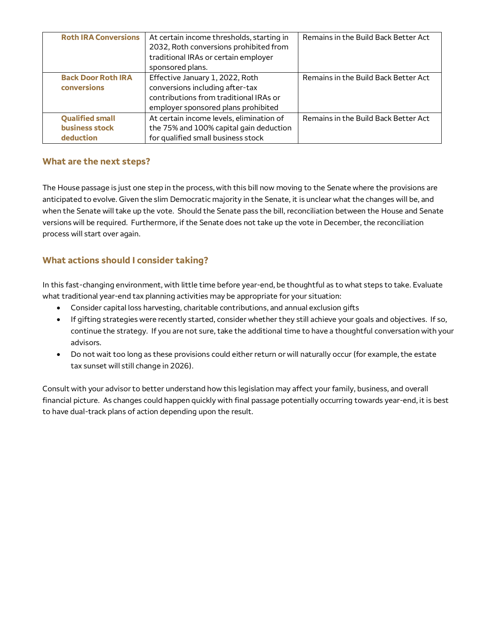| <b>Roth IRA Conversions</b>                           | At certain income thresholds, starting in<br>2032, Roth conversions prohibited from<br>traditional IRAs or certain employer<br>sponsored plans.     | Remains in the Build Back Better Act |
|-------------------------------------------------------|-----------------------------------------------------------------------------------------------------------------------------------------------------|--------------------------------------|
| <b>Back Door Roth IRA</b><br>conversions              | Effective January 1, 2022, Roth<br>conversions including after-tax<br>contributions from traditional IRAs or<br>employer sponsored plans prohibited | Remains in the Build Back Better Act |
| <b>Qualified small</b><br>business stock<br>deduction | At certain income levels, elimination of<br>the 75% and 100% capital gain deduction<br>for qualified small business stock                           | Remains in the Build Back Better Act |

### **What are the next steps?**

The House passage is just one step in the process, with this bill now moving to the Senate where the provisions are anticipated to evolve. Given the slim Democratic majority in the Senate, it is unclear what the changes will be, and when the Senate will take up the vote. Should the Senate pass the bill, reconciliation between the House and Senate versions will be required. Furthermore, if the Senate does not take up the vote in December, the reconciliation process will start over again.

# **What actions should I consider taking?**

In this fast-changing environment, with little time before year-end, be thoughtful as to what steps to take. Evaluate what traditional year-end tax planning activities may be appropriate for your situation:

- Consider capital loss harvesting, charitable contributions, and annual exclusion gifts
- If gifting strategies were recently started, consider whether they still achieve your goals and objectives. If so, continue the strategy. If you are not sure, take the additional time to have a thoughtful conversation with your advisors.
- Do not wait too long as these provisions could either return or will naturally occur (for example, the estate tax sunset will still change in 2026).

Consult with your advisor to better understand how this legislation may affect your family, business, and overall financial picture. As changes could happen quickly with final passage potentially occurring towards year-end, it is best to have dual-track plans of action depending upon the result.